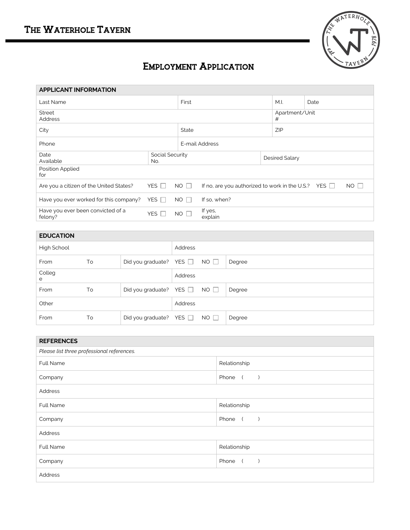

## EMPLOYMENT APPLICATION

| <b>APPLICANT INFORMATION</b>                 |              |                 |                                                           |  |                |      |             |  |
|----------------------------------------------|--------------|-----------------|-----------------------------------------------------------|--|----------------|------|-------------|--|
| Last Name                                    |              | First           |                                                           |  |                | Date |             |  |
| <b>Street</b><br><b>Address</b>              |              |                 | Apartment/Unit<br>#                                       |  |                |      |             |  |
| City                                         |              |                 | State                                                     |  |                | ZIP  |             |  |
| Phone                                        |              |                 | E-mail Address                                            |  |                |      |             |  |
| Date<br>Available                            | No.          | Social Security |                                                           |  | Desired Salary |      |             |  |
| Position Applied<br>for                      |              |                 |                                                           |  |                |      |             |  |
| Are you a citizen of the United States?      | YES $\Box$   | $NO \Box$       | If no, are you authorized to work in the U.S.? YES $\Box$ |  |                |      | $NO$ $\Box$ |  |
| Have you ever worked for this company?       | YES $\Box$   | $NO$ $\Box$     | If so, when?                                              |  |                |      |             |  |
| Have you ever been convicted of a<br>felony? | YES <b>F</b> | NO <sub>1</sub> | If yes,<br>explain                                        |  |                |      |             |  |
|                                              |              |                 |                                                           |  |                |      |             |  |

| <b>EDUCATION</b> |    |                              |         |             |        |
|------------------|----|------------------------------|---------|-------------|--------|
| High School      |    |                              | Address |             |        |
| From             | To | Did you graduate? YES $\Box$ |         | $NO$ $\Box$ | Degree |
| Colleg<br>e      |    |                              | Address |             |        |
| From             | To | Did you graduate? YES $\Box$ |         | $NO$ $\Box$ | Degree |
| Other            |    |                              | Address |             |        |
| From             | To | Did you graduate? YES □ NO □ |         |             | Degree |

| <b>REFERENCES</b>                          |                                      |  |  |  |
|--------------------------------------------|--------------------------------------|--|--|--|
| Please list three professional references. |                                      |  |  |  |
| <b>Full Name</b>                           | Relationship                         |  |  |  |
| Company                                    | Phone (<br>$\rightarrow$             |  |  |  |
| Address                                    |                                      |  |  |  |
| Full Name                                  | Relationship                         |  |  |  |
| Company                                    | Phone (<br>$\rightarrow$             |  |  |  |
| Address                                    |                                      |  |  |  |
| Full Name                                  | Relationship                         |  |  |  |
| Company                                    | Phone<br>$\sqrt{2}$<br>$\rightarrow$ |  |  |  |
| Address                                    |                                      |  |  |  |